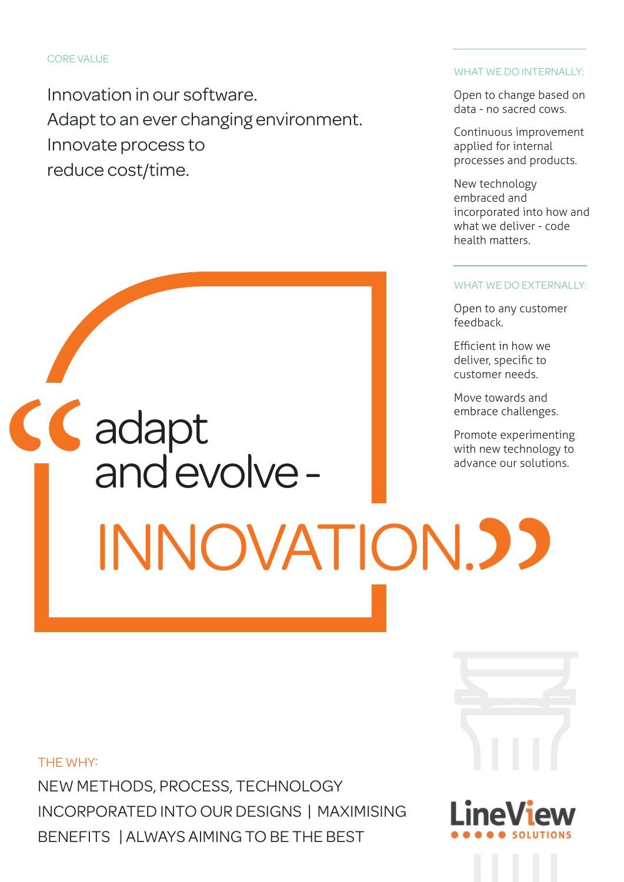Innovation in our software. Adapt to an ever changing environment. Innovate process to reduce cost/time.

# CC adapt and evolve - INNOVATION.

## WHAT WE DO INTERNALLY:

Open to change based on data - no sacred cows.

Continuous improvement applied for internal processes and products.

New technology embraced and incorporated into how and what we deliver - code health matters.

#### WHAT WE DO EXTERNALLY:

Open to any customer feedback.

Efficient in how we deliver, specific to customer needs.

Move towards and embrace challenges.

Promote experimenting with new technology to advance our solutions.

THE WHY:

NEW METHODS, PROCESS, TECHNOLOGY INCORPORATED INTO OUR DESIGNS | MAXIMISING BENEFITS | ALWAYS AIMING TO BE THE BEST

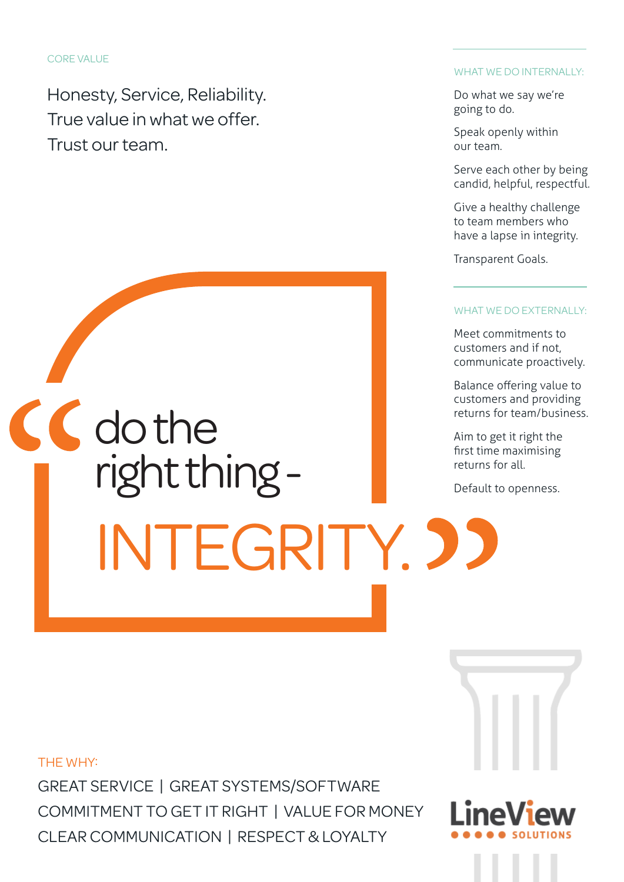Honesty, Service, Reliability. True value in what we offer. Trust our team.

# CC do the right thing - INTEGRITY. 33

## WHAT WE DO INTERNALLY:

Do what we say we're going to do.

Speak openly within our team.

Serve each other by being candid, helpful, respectful.

Give a healthy challenge to team members who have a lapse in integrity.

Transparent Goals.

## WHAT WE DO EXTERNALLY:

Meet commitments to customers and if not, communicate proactively.

Balance offering value to customers and providing returns for team/business.

Aim to get it right the first time maximising returns for all.

Default to openness.

THE WHY:

GREAT SERVICE | GREAT SYSTEMS/SOFTWARE COMMITMENT TO GET IT RIGHT | VALUE FOR MONEY CLEAR COMMUNICATION | RESPECT & LOYALTY